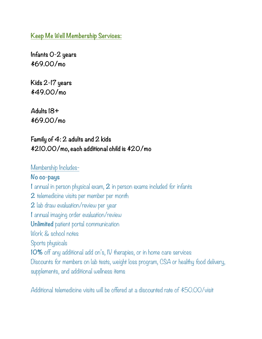**Keep Me Well Membership Services:** 

**Infants 0-2 years \$69.00/mo** 

**Kids 2-17 years \$49.00/mo** 

**Adults 18+ \$69.00/mo** 

## **Family of 4: 2 adults and 2 kids \$210.00/mo, each additional child is \$20/mo**

#### Membership Includes-

**No co-pays 1** annual in person physical exam, **2** in person exams included for infants **2** telemedicine visits per member per month **2** lab draw evaluation/review per year **1** annual imaging order evaluation/review **Unlimited** patient portal communication Work & school notes Sports physicals **10%** off any additional add on's, IV therapies, or in home care services Discounts for members on lab tests, weight loss program, CSA or healthy food delivery, supplements, and additional wellness items

Additional telemedicine visits will be offered at a discounted rate of \$50.00/visit